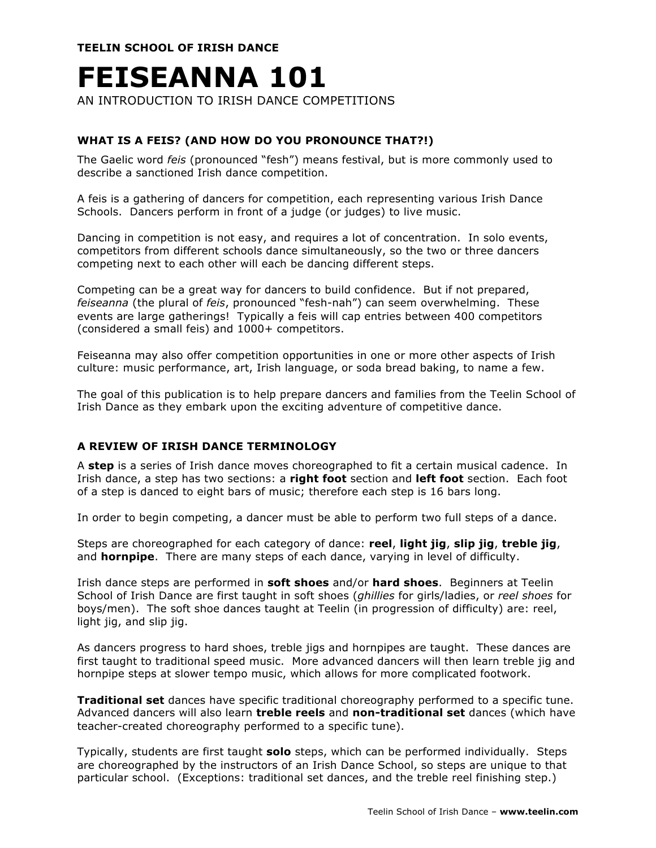**TEELIN SCHOOL OF IRISH DANCE**

# **FEISEANNA 101**

AN INTRODUCTION TO IRISH DANCE COMPETITIONS

## **WHAT IS A FEIS? (AND HOW DO YOU PRONOUNCE THAT?!)**

The Gaelic word *feis* (pronounced "fesh") means festival, but is more commonly used to describe a sanctioned Irish dance competition.

A feis is a gathering of dancers for competition, each representing various Irish Dance Schools. Dancers perform in front of a judge (or judges) to live music.

Dancing in competition is not easy, and requires a lot of concentration. In solo events, competitors from different schools dance simultaneously, so the two or three dancers competing next to each other will each be dancing different steps.

Competing can be a great way for dancers to build confidence. But if not prepared, *feiseanna* (the plural of *feis*, pronounced "fesh-nah") can seem overwhelming. These events are large gatherings! Typically a feis will cap entries between 400 competitors (considered a small feis) and 1000+ competitors.

Feiseanna may also offer competition opportunities in one or more other aspects of Irish culture: music performance, art, Irish language, or soda bread baking, to name a few.

The goal of this publication is to help prepare dancers and families from the Teelin School of Irish Dance as they embark upon the exciting adventure of competitive dance.

### **A REVIEW OF IRISH DANCE TERMINOLOGY**

A **step** is a series of Irish dance moves choreographed to fit a certain musical cadence. In Irish dance, a step has two sections: a **right foot** section and **left foot** section. Each foot of a step is danced to eight bars of music; therefore each step is 16 bars long.

In order to begin competing, a dancer must be able to perform two full steps of a dance.

Steps are choreographed for each category of dance: **reel**, **light jig**, **slip jig**, **treble jig**, and **hornpipe**. There are many steps of each dance, varying in level of difficulty.

Irish dance steps are performed in **soft shoes** and/or **hard shoes**. Beginners at Teelin School of Irish Dance are first taught in soft shoes (*ghillies* for girls/ladies, or *reel shoes* for boys/men). The soft shoe dances taught at Teelin (in progression of difficulty) are: reel, light jig, and slip jig.

As dancers progress to hard shoes, treble jigs and hornpipes are taught. These dances are first taught to traditional speed music. More advanced dancers will then learn treble jig and hornpipe steps at slower tempo music, which allows for more complicated footwork.

**Traditional set** dances have specific traditional choreography performed to a specific tune. Advanced dancers will also learn **treble reels** and **non-traditional set** dances (which have teacher-created choreography performed to a specific tune).

Typically, students are first taught **solo** steps, which can be performed individually. Steps are choreographed by the instructors of an Irish Dance School, so steps are unique to that particular school. (Exceptions: traditional set dances, and the treble reel finishing step.)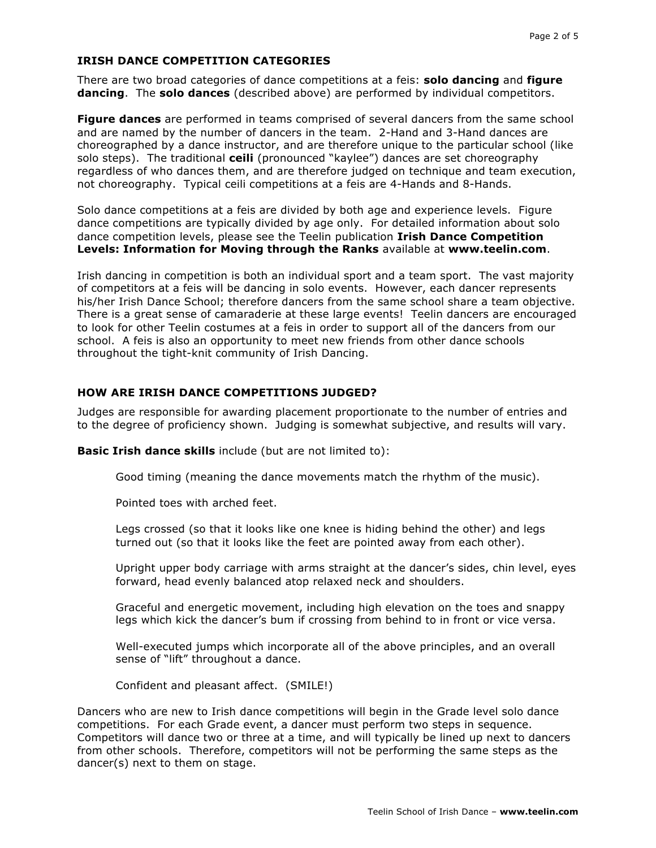#### **IRISH DANCE COMPETITION CATEGORIES**

There are two broad categories of dance competitions at a feis: **solo dancing** and **figure dancing**. The **solo dances** (described above) are performed by individual competitors.

**Figure dances** are performed in teams comprised of several dancers from the same school and are named by the number of dancers in the team. 2-Hand and 3-Hand dances are choreographed by a dance instructor, and are therefore unique to the particular school (like solo steps). The traditional **ceili** (pronounced "kaylee") dances are set choreography regardless of who dances them, and are therefore judged on technique and team execution, not choreography. Typical ceili competitions at a feis are 4-Hands and 8-Hands.

Solo dance competitions at a feis are divided by both age and experience levels. Figure dance competitions are typically divided by age only. For detailed information about solo dance competition levels, please see the Teelin publication **Irish Dance Competition Levels: Information for Moving through the Ranks** available at **www.teelin.com**.

Irish dancing in competition is both an individual sport and a team sport. The vast majority of competitors at a feis will be dancing in solo events. However, each dancer represents his/her Irish Dance School; therefore dancers from the same school share a team objective. There is a great sense of camaraderie at these large events! Teelin dancers are encouraged to look for other Teelin costumes at a feis in order to support all of the dancers from our school. A feis is also an opportunity to meet new friends from other dance schools throughout the tight-knit community of Irish Dancing.

#### **HOW ARE IRISH DANCE COMPETITIONS JUDGED?**

Judges are responsible for awarding placement proportionate to the number of entries and to the degree of proficiency shown. Judging is somewhat subjective, and results will vary.

**Basic Irish dance skills** include (but are not limited to):

Good timing (meaning the dance movements match the rhythm of the music).

Pointed toes with arched feet.

Legs crossed (so that it looks like one knee is hiding behind the other) and legs turned out (so that it looks like the feet are pointed away from each other).

Upright upper body carriage with arms straight at the dancer's sides, chin level, eyes forward, head evenly balanced atop relaxed neck and shoulders.

Graceful and energetic movement, including high elevation on the toes and snappy legs which kick the dancer's bum if crossing from behind to in front or vice versa.

Well-executed jumps which incorporate all of the above principles, and an overall sense of "lift" throughout a dance.

Confident and pleasant affect. (SMILE!)

Dancers who are new to Irish dance competitions will begin in the Grade level solo dance competitions. For each Grade event, a dancer must perform two steps in sequence. Competitors will dance two or three at a time, and will typically be lined up next to dancers from other schools. Therefore, competitors will not be performing the same steps as the dancer(s) next to them on stage.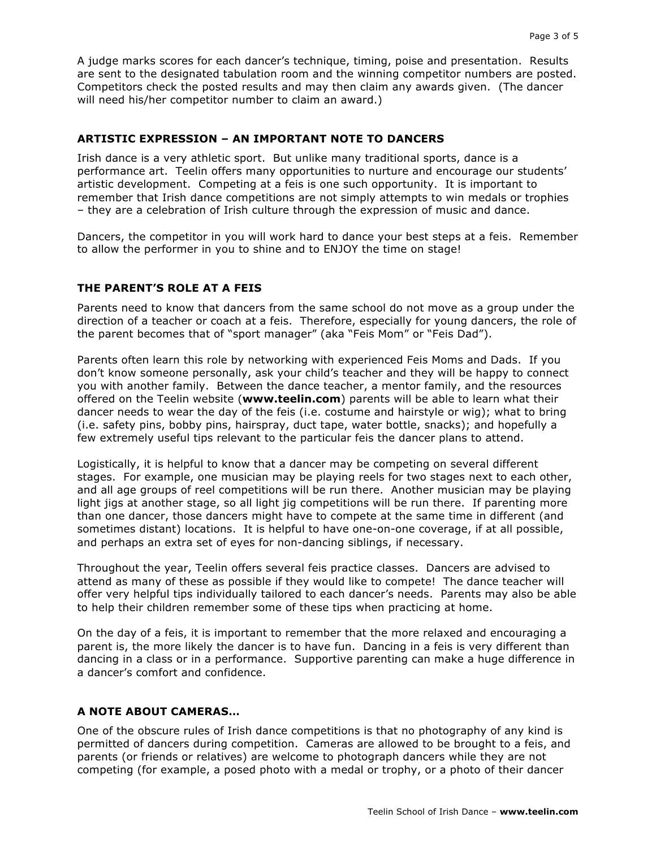A judge marks scores for each dancer's technique, timing, poise and presentation. Results are sent to the designated tabulation room and the winning competitor numbers are posted. Competitors check the posted results and may then claim any awards given. (The dancer will need his/her competitor number to claim an award.)

#### **ARTISTIC EXPRESSION – AN IMPORTANT NOTE TO DANCERS**

Irish dance is a very athletic sport. But unlike many traditional sports, dance is a performance art. Teelin offers many opportunities to nurture and encourage our students' artistic development. Competing at a feis is one such opportunity. It is important to remember that Irish dance competitions are not simply attempts to win medals or trophies – they are a celebration of Irish culture through the expression of music and dance.

Dancers, the competitor in you will work hard to dance your best steps at a feis. Remember to allow the performer in you to shine and to ENJOY the time on stage!

#### **THE PARENT'S ROLE AT A FEIS**

Parents need to know that dancers from the same school do not move as a group under the direction of a teacher or coach at a feis. Therefore, especially for young dancers, the role of the parent becomes that of "sport manager" (aka "Feis Mom" or "Feis Dad").

Parents often learn this role by networking with experienced Feis Moms and Dads. If you don't know someone personally, ask your child's teacher and they will be happy to connect you with another family. Between the dance teacher, a mentor family, and the resources offered on the Teelin website (**www.teelin.com**) parents will be able to learn what their dancer needs to wear the day of the feis (i.e. costume and hairstyle or wig); what to bring (i.e. safety pins, bobby pins, hairspray, duct tape, water bottle, snacks); and hopefully a few extremely useful tips relevant to the particular feis the dancer plans to attend.

Logistically, it is helpful to know that a dancer may be competing on several different stages. For example, one musician may be playing reels for two stages next to each other, and all age groups of reel competitions will be run there. Another musician may be playing light jigs at another stage, so all light jig competitions will be run there. If parenting more than one dancer, those dancers might have to compete at the same time in different (and sometimes distant) locations. It is helpful to have one-on-one coverage, if at all possible, and perhaps an extra set of eyes for non-dancing siblings, if necessary.

Throughout the year, Teelin offers several feis practice classes. Dancers are advised to attend as many of these as possible if they would like to compete! The dance teacher will offer very helpful tips individually tailored to each dancer's needs. Parents may also be able to help their children remember some of these tips when practicing at home.

On the day of a feis, it is important to remember that the more relaxed and encouraging a parent is, the more likely the dancer is to have fun. Dancing in a feis is very different than dancing in a class or in a performance. Supportive parenting can make a huge difference in a dancer's comfort and confidence.

### **A NOTE ABOUT CAMERAS…**

One of the obscure rules of Irish dance competitions is that no photography of any kind is permitted of dancers during competition. Cameras are allowed to be brought to a feis, and parents (or friends or relatives) are welcome to photograph dancers while they are not competing (for example, a posed photo with a medal or trophy, or a photo of their dancer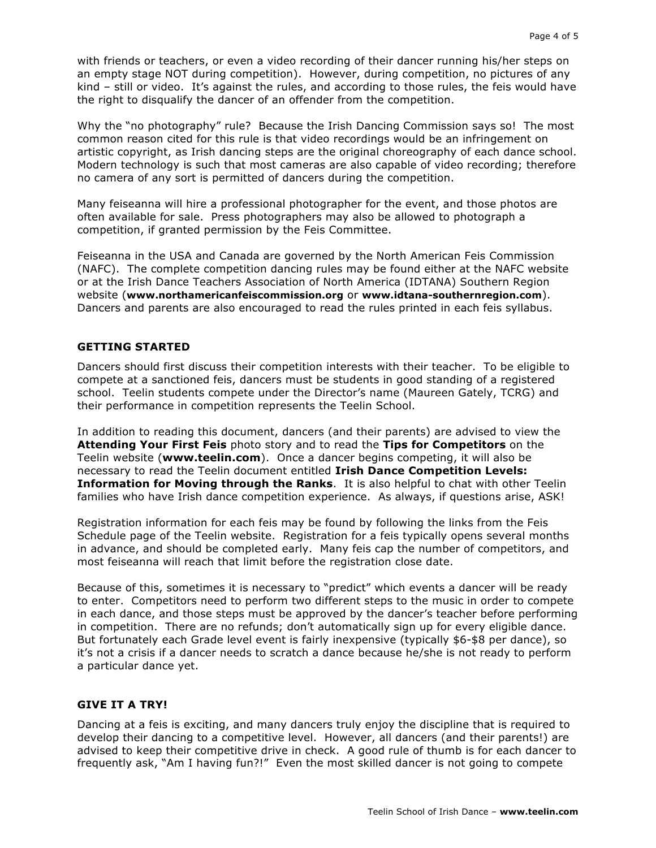with friends or teachers, or even a video recording of their dancer running his/her steps on an empty stage NOT during competition). However, during competition, no pictures of any kind – still or video. It's against the rules, and according to those rules, the feis would have the right to disqualify the dancer of an offender from the competition.

Why the "no photography" rule? Because the Irish Dancing Commission says so! The most common reason cited for this rule is that video recordings would be an infringement on artistic copyright, as Irish dancing steps are the original choreography of each dance school. Modern technology is such that most cameras are also capable of video recording; therefore no camera of any sort is permitted of dancers during the competition.

Many feiseanna will hire a professional photographer for the event, and those photos are often available for sale. Press photographers may also be allowed to photograph a competition, if granted permission by the Feis Committee.

Feiseanna in the USA and Canada are governed by the North American Feis Commission (NAFC). The complete competition dancing rules may be found either at the NAFC website or at the Irish Dance Teachers Association of North America (IDTANA) Southern Region website (**www.northamericanfeiscommission.org** or **www.idtana-southernregion.com**). Dancers and parents are also encouraged to read the rules printed in each feis syllabus.

#### **GETTING STARTED**

Dancers should first discuss their competition interests with their teacher. To be eligible to compete at a sanctioned feis, dancers must be students in good standing of a registered school. Teelin students compete under the Director's name (Maureen Gately, TCRG) and their performance in competition represents the Teelin School.

In addition to reading this document, dancers (and their parents) are advised to view the **Attending Your First Feis** photo story and to read the **Tips for Competitors** on the Teelin website (**www.teelin.com**). Once a dancer begins competing, it will also be necessary to read the Teelin document entitled **Irish Dance Competition Levels: Information for Moving through the Ranks**. It is also helpful to chat with other Teelin families who have Irish dance competition experience. As always, if questions arise, ASK!

Registration information for each feis may be found by following the links from the Feis Schedule page of the Teelin website. Registration for a feis typically opens several months in advance, and should be completed early. Many feis cap the number of competitors, and most feiseanna will reach that limit before the registration close date.

Because of this, sometimes it is necessary to "predict" which events a dancer will be ready to enter. Competitors need to perform two different steps to the music in order to compete in each dance, and those steps must be approved by the dancer's teacher before performing in competition. There are no refunds; don't automatically sign up for every eligible dance. But fortunately each Grade level event is fairly inexpensive (typically \$6-\$8 per dance), so it's not a crisis if a dancer needs to scratch a dance because he/she is not ready to perform a particular dance yet.

#### **GIVE IT A TRY!**

Dancing at a feis is exciting, and many dancers truly enjoy the discipline that is required to develop their dancing to a competitive level. However, all dancers (and their parents!) are advised to keep their competitive drive in check. A good rule of thumb is for each dancer to frequently ask, "Am I having fun?!" Even the most skilled dancer is not going to compete